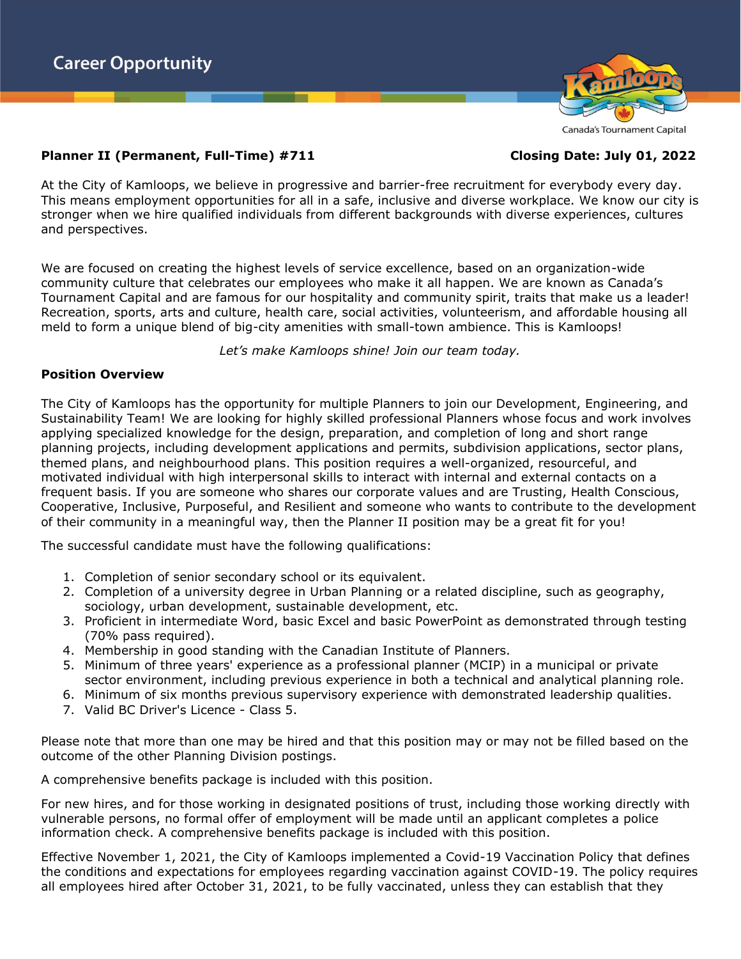

#### Canada's Tournament Capital

# **Planner II (Permanent, Full-Time) #711 Closing Date: July 01, 2022**

At the City of Kamloops, we believe in progressive and barrier-free recruitment for everybody every day. This means employment opportunities for all in a safe, inclusive and diverse workplace. We know our city is stronger when we hire qualified individuals from different backgrounds with diverse experiences, cultures and perspectives.

We are focused on creating the highest levels of service excellence, based on an organization-wide community culture that celebrates our employees who make it all happen. We are known as Canada's Tournament Capital and are famous for our hospitality and community spirit, traits that make us a leader! Recreation, sports, arts and culture, health care, social activities, volunteerism, and affordable housing all meld to form a unique blend of big-city amenities with small-town ambience. This is Kamloops!

*Let's make Kamloops shine! Join our team today.*

## **Position Overview**

The City of Kamloops has the opportunity for multiple Planners to join our Development, Engineering, and Sustainability Team! We are looking for highly skilled professional Planners whose focus and work involves applying specialized knowledge for the design, preparation, and completion of long and short range planning projects, including development applications and permits, subdivision applications, sector plans, themed plans, and neighbourhood plans. This position requires a well-organized, resourceful, and motivated individual with high interpersonal skills to interact with internal and external contacts on a frequent basis. If you are someone who shares our corporate values and are Trusting, Health Conscious, Cooperative, Inclusive, Purposeful, and Resilient and someone who wants to contribute to the development of their community in a meaningful way, then the Planner II position may be a great fit for you!

The successful candidate must have the following qualifications:

- 1. Completion of senior secondary school or its equivalent.
- 2. Completion of a university degree in Urban Planning or a related discipline, such as geography, sociology, urban development, sustainable development, etc.
- 3. Proficient in intermediate Word, basic Excel and basic PowerPoint as demonstrated through testing (70% pass required).
- 4. Membership in good standing with the Canadian Institute of Planners.
- 5. Minimum of three years' experience as a professional planner (MCIP) in a municipal or private sector environment, including previous experience in both a technical and analytical planning role.
- 6. Minimum of six months previous supervisory experience with demonstrated leadership qualities.
- 7. Valid BC Driver's Licence Class 5.

Please note that more than one may be hired and that this position may or may not be filled based on the outcome of the other Planning Division postings.

A comprehensive benefits package is included with this position.

For new hires, and for those working in designated positions of trust, including those working directly with vulnerable persons, no formal offer of employment will be made until an applicant completes a police information check. A comprehensive benefits package is included with this position.

Effective November 1, 2021, the City of Kamloops implemented a Covid-19 Vaccination Policy that defines the conditions and expectations for employees regarding vaccination against COVID-19. The policy requires all employees hired after October 31, 2021, to be fully vaccinated, unless they can establish that they